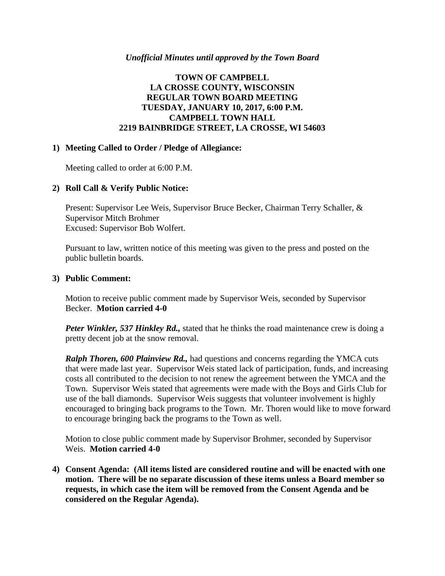#### *Unofficial Minutes until approved by the Town Board*

# **TOWN OF CAMPBELL LA CROSSE COUNTY, WISCONSIN REGULAR TOWN BOARD MEETING TUESDAY, JANUARY 10, 2017, 6:00 P.M. CAMPBELL TOWN HALL 2219 BAINBRIDGE STREET, LA CROSSE, WI 54603**

#### **1) Meeting Called to Order / Pledge of Allegiance:**

Meeting called to order at 6:00 P.M.

# **2) Roll Call & Verify Public Notice:**

Present: Supervisor Lee Weis, Supervisor Bruce Becker, Chairman Terry Schaller, & Supervisor Mitch Brohmer Excused: Supervisor Bob Wolfert.

Pursuant to law, written notice of this meeting was given to the press and posted on the public bulletin boards.

#### **3) Public Comment:**

Motion to receive public comment made by Supervisor Weis, seconded by Supervisor Becker. **Motion carried 4-0**

*Peter Winkler, 537 Hinkley Rd.,* stated that he thinks the road maintenance crew is doing a pretty decent job at the snow removal.

*Ralph Thoren, 600 Plainview Rd.,* had questions and concerns regarding the YMCA cuts that were made last year. Supervisor Weis stated lack of participation, funds, and increasing costs all contributed to the decision to not renew the agreement between the YMCA and the Town. Supervisor Weis stated that agreements were made with the Boys and Girls Club for use of the ball diamonds. Supervisor Weis suggests that volunteer involvement is highly encouraged to bringing back programs to the Town. Mr. Thoren would like to move forward to encourage bringing back the programs to the Town as well.

Motion to close public comment made by Supervisor Brohmer, seconded by Supervisor Weis. **Motion carried 4-0**

**4) Consent Agenda: (All items listed are considered routine and will be enacted with one motion. There will be no separate discussion of these items unless a Board member so requests, in which case the item will be removed from the Consent Agenda and be considered on the Regular Agenda).**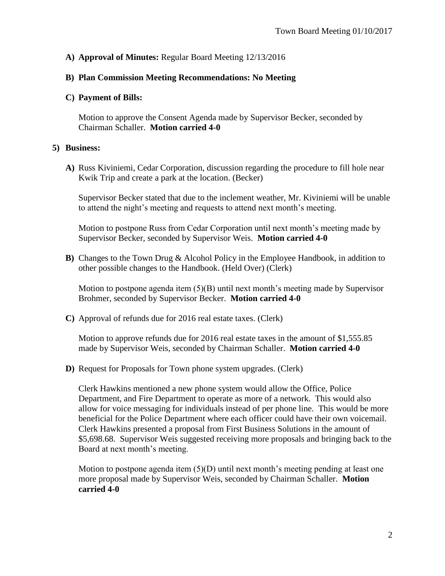# **A) Approval of Minutes:** Regular Board Meeting 12/13/2016

# **B) Plan Commission Meeting Recommendations: No Meeting**

### **C) Payment of Bills:**

Motion to approve the Consent Agenda made by Supervisor Becker, seconded by Chairman Schaller. **Motion carried 4-0**

# **5) Business:**

**A)** Russ Kiviniemi, Cedar Corporation, discussion regarding the procedure to fill hole near Kwik Trip and create a park at the location. (Becker)

Supervisor Becker stated that due to the inclement weather, Mr. Kiviniemi will be unable to attend the night's meeting and requests to attend next month's meeting.

Motion to postpone Russ from Cedar Corporation until next month's meeting made by Supervisor Becker, seconded by Supervisor Weis. **Motion carried 4-0**

**B)** Changes to the Town Drug & Alcohol Policy in the Employee Handbook, in addition to other possible changes to the Handbook. (Held Over) (Clerk)

Motion to postpone agenda item  $(5)(B)$  until next month's meeting made by Supervisor Brohmer, seconded by Supervisor Becker. **Motion carried 4-0**

**C)** Approval of refunds due for 2016 real estate taxes. (Clerk)

Motion to approve refunds due for 2016 real estate taxes in the amount of \$1,555.85 made by Supervisor Weis, seconded by Chairman Schaller. **Motion carried 4-0**

**D)** Request for Proposals for Town phone system upgrades. (Clerk)

Clerk Hawkins mentioned a new phone system would allow the Office, Police Department, and Fire Department to operate as more of a network. This would also allow for voice messaging for individuals instead of per phone line. This would be more beneficial for the Police Department where each officer could have their own voicemail. Clerk Hawkins presented a proposal from First Business Solutions in the amount of \$5,698.68. Supervisor Weis suggested receiving more proposals and bringing back to the Board at next month's meeting.

Motion to postpone agenda item  $(5)(D)$  until next month's meeting pending at least one more proposal made by Supervisor Weis, seconded by Chairman Schaller. **Motion carried 4-0**